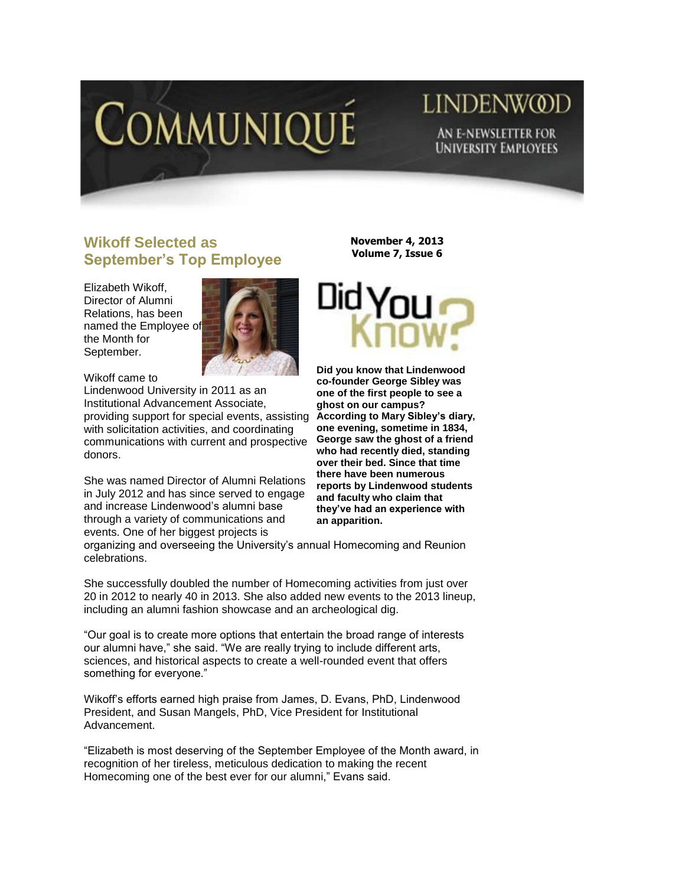

# LINDENW@D AN E-NEWSLETTER FOR **UNIVERSITY EMPLOYEES**

## **Wikoff Selected as September's Top Employee**

Elizabeth Wikoff, Director of Alumni Relations, has been named the Employee of the Month for September.



Wikoff came to Lindenwood University in 2011 as an Institutional Advancement Associate, providing support for special events, assisting with solicitation activities, and coordinating communications with current and prospective donors.

She was named Director of Alumni Relations in July 2012 and has since served to engage and increase Lindenwood's alumni base through a variety of communications and events. One of her biggest projects is

**November 4, 2013 Volume 7, Issue 6**



**Did you know that Lindenwood co-founder George Sibley was one of the first people to see a ghost on our campus? According to Mary Sibley's diary, one evening, sometime in 1834, George saw the ghost of a friend who had recently died, standing over their bed. Since that time there have been numerous reports by Lindenwood students and faculty who claim that they've had an experience with an apparition.** 

organizing and overseeing the University's annual Homecoming and Reunion celebrations.

She successfully doubled the number of Homecoming activities from just over 20 in 2012 to nearly 40 in 2013. She also added new events to the 2013 lineup, including an alumni fashion showcase and an archeological dig.

"Our goal is to create more options that entertain the broad range of interests our alumni have," she said. "We are really trying to include different arts, sciences, and historical aspects to create a well-rounded event that offers something for everyone."

Wikoff's efforts earned high praise from James, D. Evans, PhD, Lindenwood President, and Susan Mangels, PhD, Vice President for Institutional Advancement.

"Elizabeth is most deserving of the September Employee of the Month award, in recognition of her tireless, meticulous dedication to making the recent Homecoming one of the best ever for our alumni," Evans said.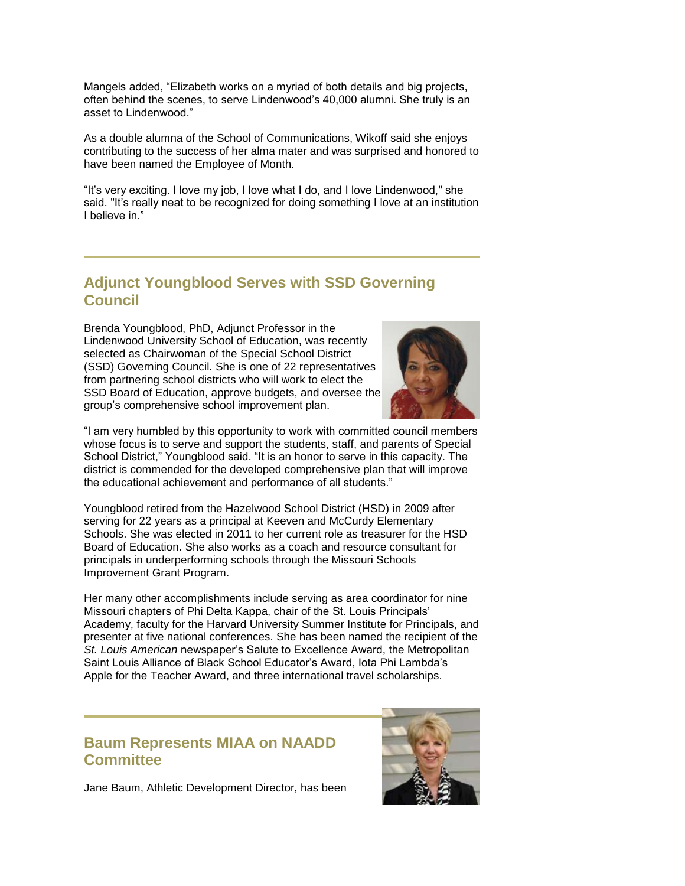Mangels added, "Elizabeth works on a myriad of both details and big projects, often behind the scenes, to serve Lindenwood's 40,000 alumni. She truly is an asset to Lindenwood."

As a double alumna of the School of Communications, Wikoff said she enjoys contributing to the success of her alma mater and was surprised and honored to have been named the Employee of Month.

"It's very exciting. I love my job, I love what I do, and I love Lindenwood," she said. "It's really neat to be recognized for doing something I love at an institution I believe in."

#### **Adjunct Youngblood Serves with SSD Governing Council**

Brenda Youngblood, PhD, Adjunct Professor in the Lindenwood University School of Education, was recently selected as Chairwoman of the Special School District (SSD) Governing Council. She is one of 22 representatives from partnering school districts who will work to elect the SSD Board of Education, approve budgets, and oversee the group's comprehensive school improvement plan.



"I am very humbled by this opportunity to work with committed council members whose focus is to serve and support the students, staff, and parents of Special School District," Youngblood said. "It is an honor to serve in this capacity. The district is commended for the developed comprehensive plan that will improve the educational achievement and performance of all students."

Youngblood retired from the Hazelwood School District (HSD) in 2009 after serving for 22 years as a principal at Keeven and McCurdy Elementary Schools. She was elected in 2011 to her current role as treasurer for the HSD Board of Education. She also works as a coach and resource consultant for principals in underperforming schools through the Missouri Schools Improvement Grant Program.

Her many other accomplishments include serving as area coordinator for nine Missouri chapters of Phi Delta Kappa, chair of the St. Louis Principals' Academy, faculty for the Harvard University Summer Institute for Principals, and presenter at five national conferences. She has been named the recipient of the *St. Louis American* newspaper's Salute to Excellence Award, the Metropolitan Saint Louis Alliance of Black School Educator's Award, Iota Phi Lambda's Apple for the Teacher Award, and three international travel scholarships.

#### **Baum Represents MIAA on NAADD Committee**

Jane Baum, Athletic Development Director, has been

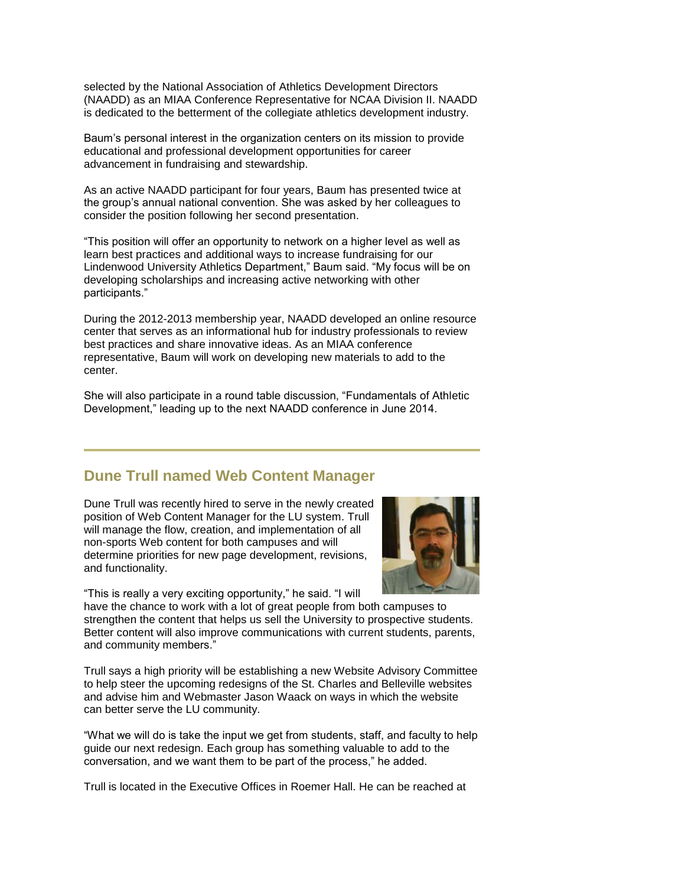selected by the National Association of Athletics Development Directors (NAADD) as an MIAA Conference Representative for NCAA Division II. NAADD is dedicated to the betterment of the collegiate athletics development industry.

Baum's personal interest in the organization centers on its mission to provide educational and professional development opportunities for career advancement in fundraising and stewardship.

As an active NAADD participant for four years, Baum has presented twice at the group's annual national convention. She was asked by her colleagues to consider the position following her second presentation.

"This position will offer an opportunity to network on a higher level as well as learn best practices and additional ways to increase fundraising for our Lindenwood University Athletics Department," Baum said. "My focus will be on developing scholarships and increasing active networking with other participants."

During the 2012-2013 membership year, NAADD developed an online resource center that serves as an informational hub for industry professionals to review best practices and share innovative ideas. As an MIAA conference representative, Baum will work on developing new materials to add to the center.

She will also participate in a round table discussion, "Fundamentals of Athletic Development," leading up to the next NAADD conference in June 2014.

### **Dune Trull named Web Content Manager**

Dune Trull was recently hired to serve in the newly created position of Web Content Manager for the LU system. Trull will manage the flow, creation, and implementation of all non-sports Web content for both campuses and will determine priorities for new page development, revisions, and functionality.



"This is really a very exciting opportunity," he said. "I will

have the chance to work with a lot of great people from both campuses to strengthen the content that helps us sell the University to prospective students. Better content will also improve communications with current students, parents, and community members."

Trull says a high priority will be establishing a new Website Advisory Committee to help steer the upcoming redesigns of the St. Charles and Belleville websites and advise him and Webmaster Jason Waack on ways in which the website can better serve the LU community.

"What we will do is take the input we get from students, staff, and faculty to help guide our next redesign. Each group has something valuable to add to the conversation, and we want them to be part of the process," he added.

Trull is located in the Executive Offices in Roemer Hall. He can be reached at